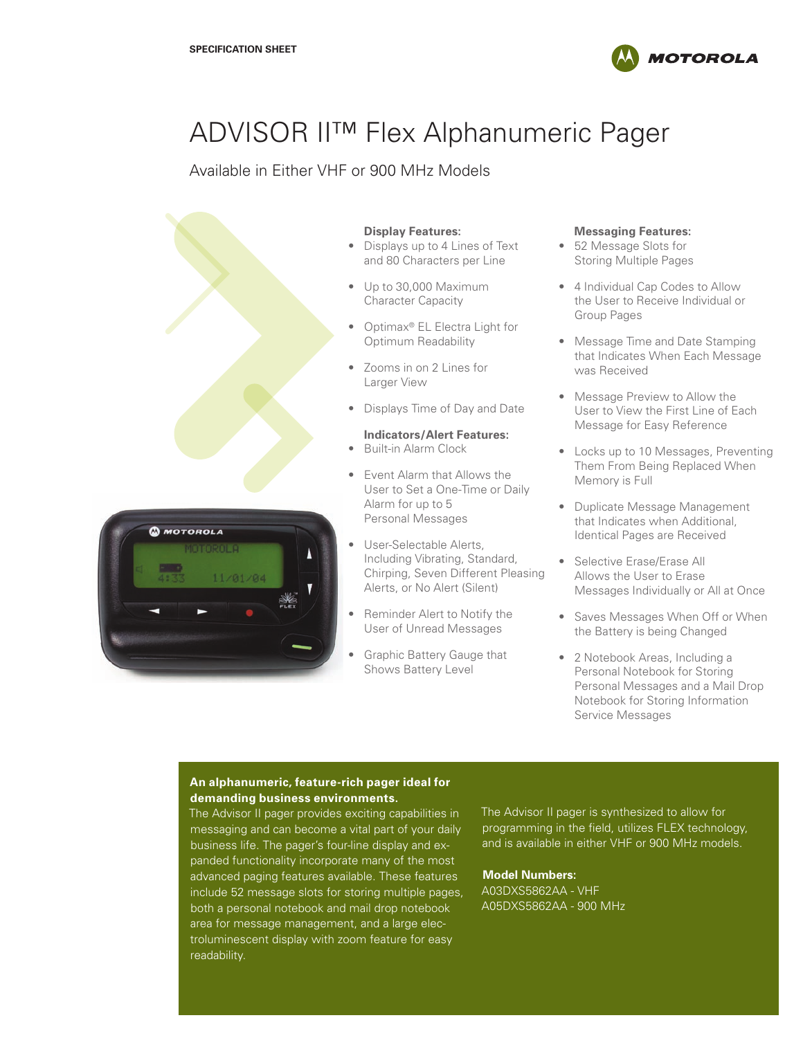

# ADVISOR II™ Flex Alphanumeric Pager

Available in Either VHF or 900 MHz Models



### **Display Features:**

- Displays up to 4 Lines of Text and 80 Characters per Line
- Up to 30,000 Maximum Character Capacity
- Optimax® EL Electra Light for Optimum Readability
- Zooms in on 2 Lines for Larger View
- Displays Time of Day and Date

## **Indicators/Alert Features:**

- Built-in Alarm Clock
- Event Alarm that Allows the User to Set a One-Time or Daily Alarm for up to 5 Personal Messages
- User-Selectable Alerts, Including Vibrating, Standard, Chirping, Seven Different Pleasing Alerts, or No Alert (Silent)
- Reminder Alert to Notify the User of Unread Messages
- Graphic Battery Gauge that Shows Battery Level

#### **Messaging Features:**

- 52 Message Slots for Storing Multiple Pages
- 4 Individual Cap Codes to Allow the User to Receive Individual or Group Pages
- Message Time and Date Stamping that Indicates When Each Message was Received
- Message Preview to Allow the User to View the First Line of Each Message for Easy Reference
- Locks up to 10 Messages, Preventing Them From Being Replaced When Memory is Full
- Duplicate Message Management that Indicates when Additional, Identical Pages are Received
- Selective Erase/Erase All Allows the User to Erase Messages Individually or All at Once
- Saves Messages When Off or When the Battery is being Changed
- 2 Notebook Areas, Including a Personal Notebook for Storing Personal Messages and a Mail Drop Notebook for Storing Information Service Messages

## **An alphanumeric, feature-rich pager ideal for demanding business environments.**

The Advisor II pager provides exciting capabilities in messaging and can become a vital part of your daily business life. The pager's four-line display and expanded functionality incorporate many of the most advanced paging features available. These features include 52 message slots for storing multiple pages, both a personal notebook and mail drop notebook area for message management, and a large electroluminescent display with zoom feature for easy readability.

The Advisor II pager is synthesized to allow for programming in the field, utilizes FLEX technology, and is available in either VHF or 900 MHz models.

# **Model Numbers:**

A03DXS5862AA - VHF A05DXS5862AA - 900 MHz